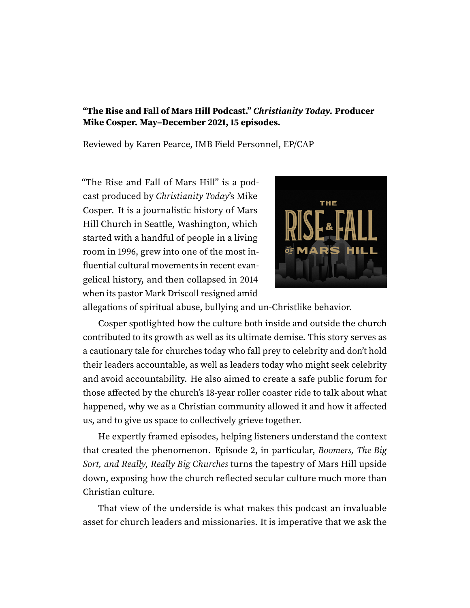## **"The Rise and Fall of Mars Hill Podcast." Christianity Today. Producer Mike Cosper. May–December 2021, 15 episodes.**

Reviewed by Karen Pearce, IMB Field Personnel, EP/CAP

"The Rise and Fall of Mars Hill" is a podcast produced by Christianity Today's Mike Cosper. It is a journalistic history of Mars Hill Church in Seattle, Washington, which started with a handful of people in a living room in 1996, grew into one of the most influential cultural movements in recent evangelical history, and then collapsed in 2014 when its pastor Mark Driscoll resigned amid



allegations of spiritual abuse, bullying and un-Christlike behavior.

Cosper spotlighted how the culture both inside and outside the church contributed to its growth as well as its ultimate demise. This story serves as a cautionary tale for churches today who fall prey to celebrity and don't hold their leaders accountable, as well as leaders today who might seek celebrity and avoid accountability. He also aimed to create a safe public forum for those affected by the church's 18-year roller coaster ride to talk about what happened, why we as a Christian community allowed it and how it affected us, and to give us space to collectively grieve together.

He expertly framed episodes, helping listeners understand the context that created the phenomenon. Episode 2, in particular, Boomers, The Big Sort, and Really, Really Big Churches turns the tapestry of Mars Hill upside down, exposing how the church reflected secular culture much more than Christian culture.

That view of the underside is what makes this podcast an invaluable asset for church leaders and missionaries. It is imperative that we ask the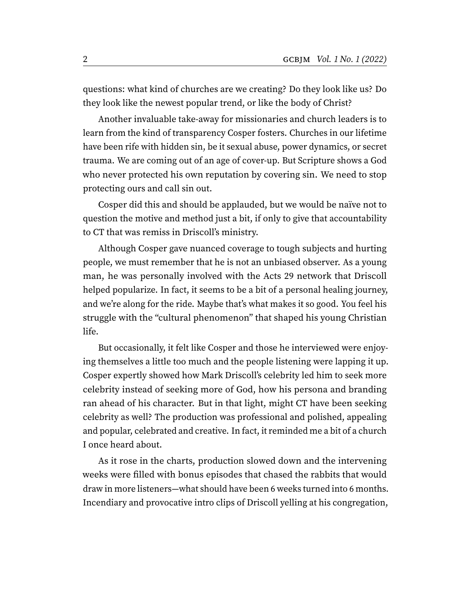questions: what kind of churches are we creating? Do they look like us? Do they look like the newest popular trend, or like the body of Christ?

Another invaluable take-away for missionaries and church leaders is to learn from the kind of transparency Cosper fosters. Churches in our lifetime have been rife with hidden sin, be it sexual abuse, power dynamics, or secret trauma. We are coming out of an age of cover-up. But Scripture shows a God who never protected his own reputation by covering sin. We need to stop protecting ours and call sin out.

Cosper did this and should be applauded, but we would be naïve not to question the motive and method just a bit, if only to give that accountability to CT that was remiss in Driscoll's ministry.

Although Cosper gave nuanced coverage to tough subjects and hurting people, we must remember that he is not an unbiased observer. As a young man, he was personally involved with the Acts 29 network that Driscoll helped popularize. In fact, it seems to be a bit of a personal healing journey, and we're along for the ride. Maybe that's what makes it so good. You feel his struggle with the "cultural phenomenon" that shaped his young Christian life.

But occasionally, it felt like Cosper and those he interviewed were enjoying themselves a little too much and the people listening were lapping it up. Cosper expertly showed how Mark Driscoll's celebrity led him to seek more celebrity instead of seeking more of God, how his persona and branding ran ahead of his character. But in that light, might CT have been seeking celebrity as well? The production was professional and polished, appealing and popular, celebrated and creative. In fact, it reminded me a bit of a church I once heard about.

As it rose in the charts, production slowed down and the intervening weeks were filled with bonus episodes that chased the rabbits that would draw in more listeners—what should have been 6 weeks turned into 6 months. Incendiary and provocative intro clips of Driscoll yelling at his congregation,